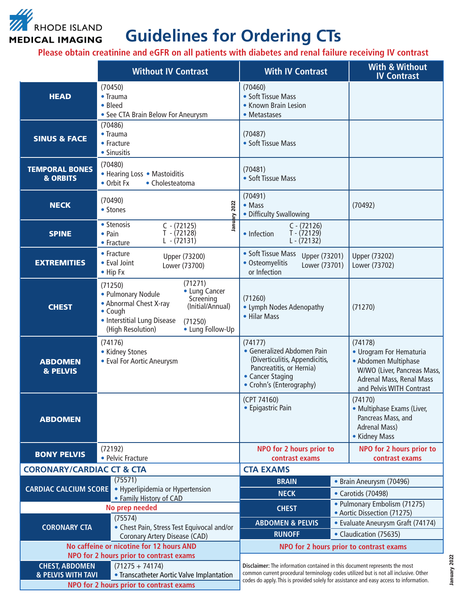

## **Guidelines for Ordering CTs**

**Please obtain creatinine and eGFR on all patients with diabetes and renal failure receiving IV contrast**

|                                                                                                               | <b>Without IV Contrast</b>                                                                                                                                                                                         | <b>With IV Contrast</b>                                                                                                                                            | <b>With &amp; Without</b><br><b>IV Contrast</b>                                                                                                   |
|---------------------------------------------------------------------------------------------------------------|--------------------------------------------------------------------------------------------------------------------------------------------------------------------------------------------------------------------|--------------------------------------------------------------------------------------------------------------------------------------------------------------------|---------------------------------------------------------------------------------------------------------------------------------------------------|
| <b>HEAD</b>                                                                                                   | (70450)<br>$\bullet$ Trauma<br>• Bleed<br>• See CTA Brain Below For Aneurysm                                                                                                                                       | (70460)<br>• Soft Tissue Mass<br>• Known Brain Lesion<br>• Metastases                                                                                              |                                                                                                                                                   |
| <b>SINUS &amp; FACE</b>                                                                                       | (70486)<br>• Trauma<br>• Fracture<br>• Sinusitis                                                                                                                                                                   | (70487)<br>• Soft Tissue Mass                                                                                                                                      |                                                                                                                                                   |
| <b>TEMPORAL BONES</b><br><b>&amp; ORBITS</b>                                                                  | (70480)<br>• Hearing Loss • Mastoiditis<br>• Orbit Fx<br>• Cholesteatoma                                                                                                                                           | (70481)<br>• Soft Tissue Mass                                                                                                                                      |                                                                                                                                                   |
| <b>NECK</b>                                                                                                   | (70490)<br>January 2022<br>• Stones                                                                                                                                                                                | (70491)<br>$\bullet$ Mass<br>• Difficulty Swallowing                                                                                                               | (70492)                                                                                                                                           |
| <b>SPINE</b>                                                                                                  | • Stenosis<br>$C - (72125)$<br>$T - (72128)$<br>• Pain<br>$L - (72131)$<br>• Fracture                                                                                                                              | $C - (72126)$<br>$T - (72129)$<br>• Infection<br>$L - (72132)$                                                                                                     |                                                                                                                                                   |
| <b>EXTREMITIES</b>                                                                                            | • Fracture<br>Upper (73200)<br>• Eval Joint<br>Lower (73700)<br>• Hip Fx                                                                                                                                           | • Soft Tissue Mass<br>Upper (73201)<br>• Osteomyelitis<br>Lower (73701)<br>or Infection                                                                            | Upper (73202)<br>Lower (73702)                                                                                                                    |
| <b>CHEST</b>                                                                                                  | (71271)<br>(71250)<br>• Lung Cancer<br>• Pulmonary Nodule<br>Screening<br>• Abnormal Chest X-ray<br>(Initial/Annual)<br>• Cough<br>• Interstitial Lung Disease<br>(71250)<br>(High Resolution)<br>• Lung Follow-Up | (71260)<br>• Lymph Nodes Adenopathy<br>• Hilar Mass                                                                                                                | (71270)                                                                                                                                           |
| <b>ABDOMEN</b><br>& PELVIS                                                                                    | (74176)<br>• Kidney Stones<br>• Eval For Aortic Aneurysm                                                                                                                                                           | (74177)<br>• Generalized Abdomen Pain<br>(Diverticulitis, Appendicitis,<br>Pancreatitis, or Hernia)<br>• Cancer Staging<br>• Crohn's (Enterography)                | (74178)<br>• Urogram For Hematuria<br>• Abdomen Multiphase<br>W/WO (Liver, Pancreas Mass,<br>Adrenal Mass, Renal Mass<br>and Pelvis WITH Contrast |
| <b>ABDOMEN</b>                                                                                                |                                                                                                                                                                                                                    | (CPT 74160)<br>• Epigastric Pain                                                                                                                                   | (74170)<br>• Multiphase Exams (Liver,<br>Pancreas Mass, and<br><b>Adrenal Mass)</b><br>• Kidney Mass                                              |
| <b>BONY PELVIS</b>                                                                                            | (72192)<br>• Pelvic Fracture                                                                                                                                                                                       | NPO for 2 hours prior to<br>contrast exams                                                                                                                         | NPO for 2 hours prior to<br>contrast exams                                                                                                        |
| <b>CORONARY/CARDIAC CT &amp; CTA</b>                                                                          |                                                                                                                                                                                                                    | <b>CTA EXAMS</b>                                                                                                                                                   |                                                                                                                                                   |
| <b>CARDIAC CALCIUM SCORE</b>                                                                                  | (75571)<br>• Hyperlipidemia or Hypertension                                                                                                                                                                        | <b>BRAIN</b>                                                                                                                                                       | • Brain Aneurysm (70496)                                                                                                                          |
|                                                                                                               | • Family History of CAD                                                                                                                                                                                            | <b>NECK</b>                                                                                                                                                        | • Carotids (70498)                                                                                                                                |
|                                                                                                               | No prep needed                                                                                                                                                                                                     | <b>CHEST</b>                                                                                                                                                       | • Pulmonary Embolism (71275)<br>• Aortic Dissection (71275)                                                                                       |
| <b>CORONARY CTA</b>                                                                                           | (75574)<br>• Chest Pain, Stress Test Equivocal and/or                                                                                                                                                              | <b>ABDOMEN &amp; PELVIS</b>                                                                                                                                        | • Evaluate Aneurysm Graft (74174)                                                                                                                 |
|                                                                                                               | <b>Coronary Artery Disease (CAD)</b>                                                                                                                                                                               | <b>RUNOFF</b>                                                                                                                                                      | • Claudication (75635)                                                                                                                            |
|                                                                                                               | No caffeine or nicotine for 12 hours AND                                                                                                                                                                           |                                                                                                                                                                    | NPO for 2 hours prior to contrast exams                                                                                                           |
| NPO for 2 hours prior to contrast exams                                                                       |                                                                                                                                                                                                                    | Disclaimer: The information contained in this document represents the most<br>common current procedural terminology codes utilized but is not all inclusive. Other |                                                                                                                                                   |
| <b>CHEST, ABDOMEN</b><br>$(71275 + 74174)$<br>& PELVIS WITH TAVI<br>• Transcatheter Aortic Valve Implantation |                                                                                                                                                                                                                    |                                                                                                                                                                    |                                                                                                                                                   |
|                                                                                                               | NPO for 2 hours prior to contrast exams                                                                                                                                                                            |                                                                                                                                                                    | codes do apply. This is provided solely for assistance and easy access to information.                                                            |